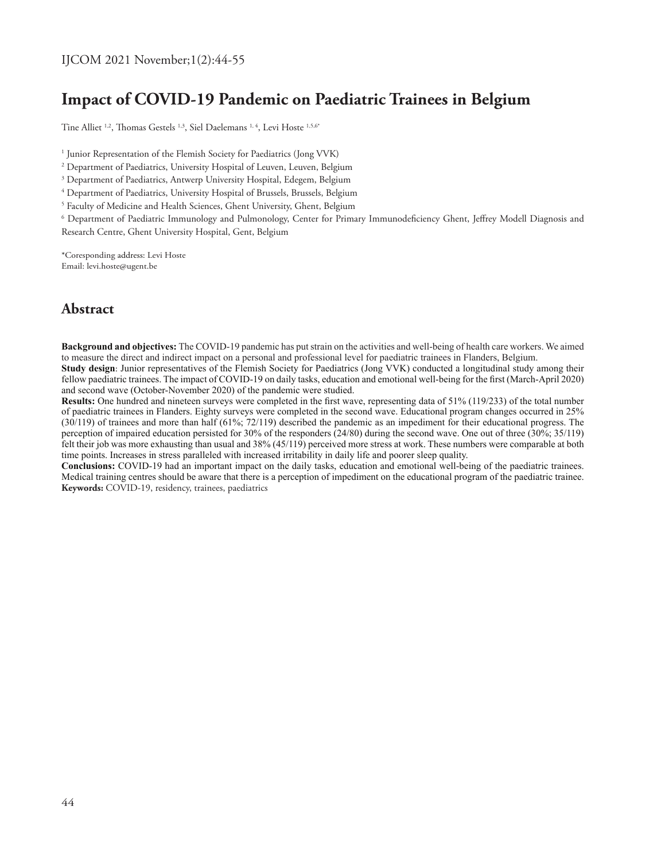# **Impact of COVID-19 Pandemic on Paediatric Trainees in Belgium**

Tine Alliet <sup>1,2</sup>, Thomas Gestels <sup>1,3</sup>, Siel Daelemans <sup>1, 4</sup>, Levi Hoste <sup>1,5,6\*</sup>

1 Junior Representation of the Flemish Society for Paediatrics (Jong VVK)

2 Department of Paediatrics, University Hospital of Leuven, Leuven, Belgium

 $\rm{^{3}}$  Department of Paediatrics, Antwerp University Hospital, Edegem, Belgium

4 Department of Paediatrics, University Hospital of Brussels, Brussels, Belgium

5 Faculty of Medicine and Health Sciences, Ghent University, Ghent, Belgium

6 Department of Paediatric Immunology and Pulmonology, Center for Primary Immunodeficiency Ghent, Jeffrey Modell Diagnosis and Research Centre, Ghent University Hospital, Gent, Belgium

\*Coresponding address: Levi Hoste Email: levi.hoste@ugent.be

# **Abstract**

**Background and objectives:** The COVID-19 pandemic has put strain on the activities and well-being of health care workers. We aimed to measure the direct and indirect impact on a personal and professional level for paediatric trainees in Flanders, Belgium. **Study design**: Junior representatives of the Flemish Society for Paediatrics (Jong VVK) conducted a longitudinal study among their

fellow paediatric trainees. The impact of COVID-19 on daily tasks, education and emotional well-being for the first (March-April 2020) and second wave (October-November 2020) of the pandemic were studied.

**Results:** One hundred and nineteen surveys were completed in the first wave, representing data of 51% (119/233) of the total number of paediatric trainees in Flanders. Eighty surveys were completed in the second wave. Educational program changes occurred in 25% (30/119) of trainees and more than half (61%; 72/119) described the pandemic as an impediment for their educational progress. The perception of impaired education persisted for 30% of the responders (24/80) during the second wave. One out of three (30%; 35/119) felt their job was more exhausting than usual and 38% (45/119) perceived more stress at work. These numbers were comparable at both time points. Increases in stress paralleled with increased irritability in daily life and poorer sleep quality.

**Conclusions:** COVID-19 had an important impact on the daily tasks, education and emotional well-being of the paediatric trainees. Medical training centres should be aware that there is a perception of impediment on the educational program of the paediatric trainee. **Keywords:** COVID-19, residency, trainees, paediatrics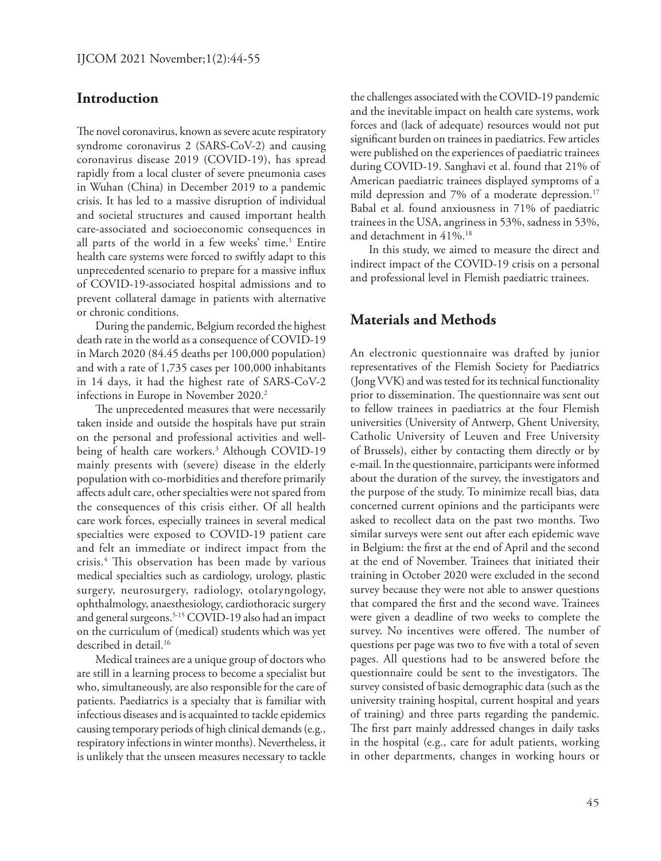# **Introduction**

The novel coronavirus, known as severe acute respiratory syndrome coronavirus 2 (SARS-CoV-2) and causing coronavirus disease 2019 (COVID-19), has spread rapidly from a local cluster of severe pneumonia cases in Wuhan (China) in December 2019 to a pandemic crisis. It has led to a massive disruption of individual and societal structures and caused important health care-associated and socioeconomic consequences in all parts of the world in a few weeks' time.<sup>1</sup> Entire health care systems were forced to swiftly adapt to this unprecedented scenario to prepare for a massive influx of COVID-19-associated hospital admissions and to prevent collateral damage in patients with alternative or chronic conditions.

During the pandemic, Belgium recorded the highest death rate in the world as a consequence of COVID-19 in March 2020 (84.45 deaths per 100,000 population) and with a rate of 1,735 cases per 100,000 inhabitants in 14 days, it had the highest rate of SARS-CoV-2 infections in Europe in November 2020.<sup>2</sup>

The unprecedented measures that were necessarily taken inside and outside the hospitals have put strain on the personal and professional activities and wellbeing of health care workers.3 Although COVID-19 mainly presents with (severe) disease in the elderly population with co-morbidities and therefore primarily affects adult care, other specialties were not spared from the consequences of this crisis either. Of all health care work forces, especially trainees in several medical specialties were exposed to COVID-19 patient care and felt an immediate or indirect impact from the crisis.4 This observation has been made by various medical specialties such as cardiology, urology, plastic surgery, neurosurgery, radiology, otolaryngology, ophthalmology, anaesthesiology, cardiothoracic surgery and general surgeons.<sup>5-15</sup> COVID-19 also had an impact on the curriculum of (medical) students which was yet described in detail.<sup>16</sup>

Medical trainees are a unique group of doctors who are still in a learning process to become a specialist but who, simultaneously, are also responsible for the care of patients. Paediatrics is a specialty that is familiar with infectious diseases and is acquainted to tackle epidemics causing temporary periods of high clinical demands (e.g., respiratory infections in winter months). Nevertheless, it is unlikely that the unseen measures necessary to tackle

the challenges associated with the COVID-19 pandemic and the inevitable impact on health care systems, work forces and (lack of adequate) resources would not put significant burden on trainees in paediatrics. Few articles were published on the experiences of paediatric trainees during COVID-19. Sanghavi et al. found that 21% of American paediatric trainees displayed symptoms of a mild depression and 7% of a moderate depression.<sup>17</sup> Babal et al. found anxiousness in 71% of paediatric trainees in the USA, angriness in 53%, sadness in 53%, and detachment in 41%.<sup>18</sup>

In this study, we aimed to measure the direct and indirect impact of the COVID-19 crisis on a personal and professional level in Flemish paediatric trainees.

# **Materials and Methods**

An electronic questionnaire was drafted by junior representatives of the Flemish Society for Paediatrics (Jong VVK) and was tested for its technical functionality prior to dissemination. The questionnaire was sent out to fellow trainees in paediatrics at the four Flemish universities (University of Antwerp, Ghent University, Catholic University of Leuven and Free University of Brussels), either by contacting them directly or by e-mail. In the questionnaire, participants were informed about the duration of the survey, the investigators and the purpose of the study. To minimize recall bias, data concerned current opinions and the participants were asked to recollect data on the past two months. Two similar surveys were sent out after each epidemic wave in Belgium: the first at the end of April and the second at the end of November. Trainees that initiated their training in October 2020 were excluded in the second survey because they were not able to answer questions that compared the first and the second wave. Trainees were given a deadline of two weeks to complete the survey. No incentives were offered. The number of questions per page was two to five with a total of seven pages. All questions had to be answered before the questionnaire could be sent to the investigators. The survey consisted of basic demographic data (such as the university training hospital, current hospital and years of training) and three parts regarding the pandemic. The first part mainly addressed changes in daily tasks in the hospital (e.g., care for adult patients, working in other departments, changes in working hours or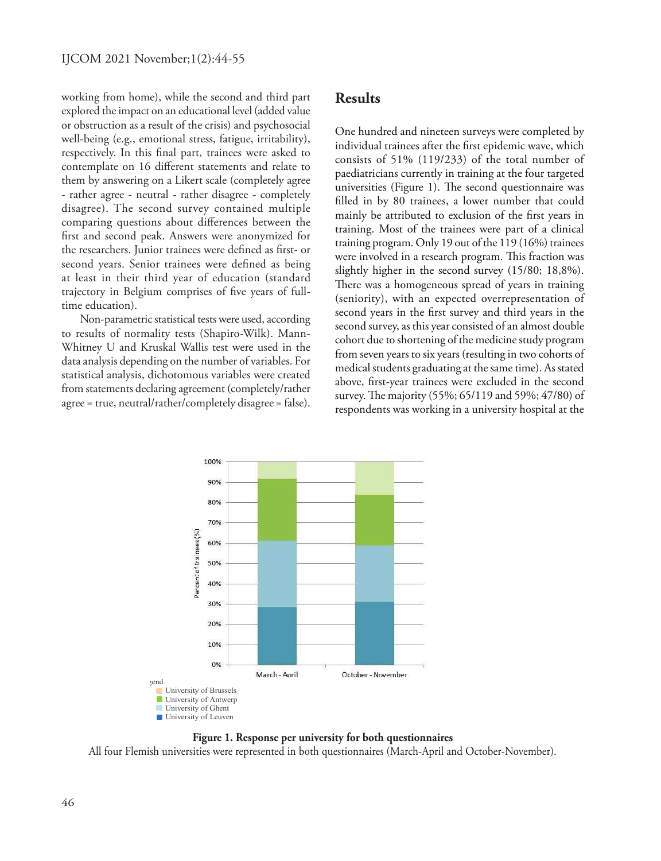working from home), while the second and third part explored the impact on an educational level (added value or obstruction as a result of the crisis) and psychosocial well-being (e.g., emotional stress, fatigue, irritability), respectively. In this final part, trainees were asked to contemplate on 16 different statements and relate to them by answering on a Likert scale (completely agree - rather agree - neutral - rather disagree - completely disagree). The second survey contained multiple comparing questions about differences between the first and second peak. Answers were anonymized for the researchers. Junior trainees were defined as first- or second years. Senior trainees were defined as being at least in their third year of education (standard trajectory in Belgium comprises of five years of fulltime education).

Non-parametric statistical tests were used, according to results of normality tests (Shapiro-Wilk). Mann-Whitney U and Kruskal Wallis test were used in the data analysis depending on the number of variables. For statistical analysis, dichotomous variables were created from statements declaring agreement (completely/rather agree = true, neutral/rather/completely disagree = false).

# **Results**

One hundred and nineteen surveys were completed by individual trainees after the first epidemic wave, which consists of 51% (119/233) of the total number of paediatricians currently in training at the four targeted universities (Figure 1). The second questionnaire was filled in by 80 trainees, a lower number that could mainly be attributed to exclusion of the first years in training. Most of the trainees were part of a clinical training program. Only 19 out of the 119 (16%) trainees were involved in a research program. This fraction was slightly higher in the second survey (15/80; 18,8%). There was a homogeneous spread of years in training (seniority), with an expected overrepresentation of second years in the first survey and third years in the second survey, as this year consisted of an almost double cohort due to shortening of the medicine study program from seven years to six years (resulting in two cohorts of medical students graduating at the same time). As stated above, first-year trainees were excluded in the second survey. The majority (55%; 65/119 and 59%; 47/80) of respondents was working in a university hospital at the





All four Flemish universities were represented in both questionnaires (March-April and October-November).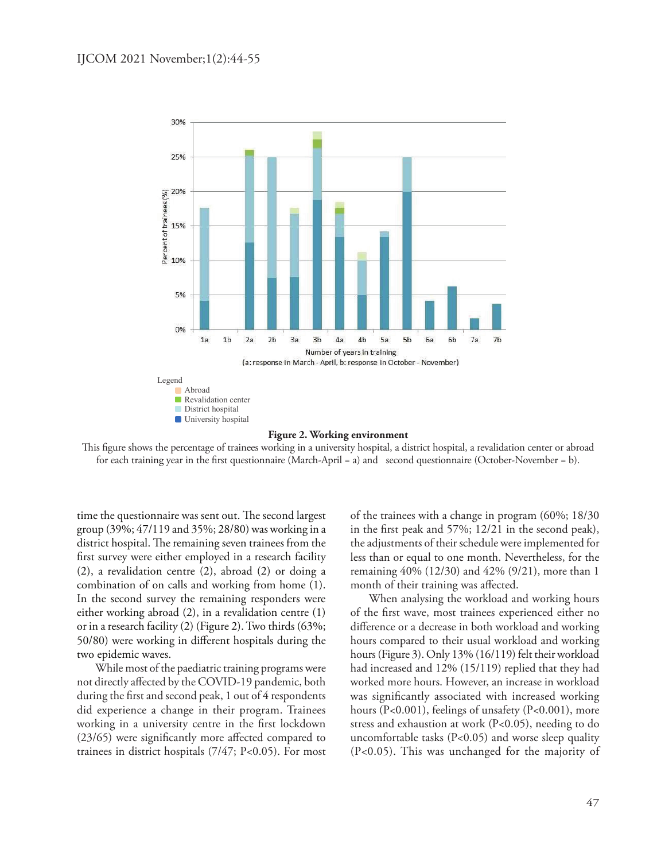

#### **Figure 2. Working environment**

This figure shows the percentage of trainees working in a university hospital, a district hospital, a revalidation center or abroad for each training year in the first questionnaire (March-April = a) and second questionnaire (October-November = b).

time the questionnaire was sent out. The second largest group (39%; 47/119 and 35%; 28/80) was working in a district hospital. The remaining seven trainees from the first survey were either employed in a research facility (2), a revalidation centre (2), abroad (2) or doing a combination of on calls and working from home (1). In the second survey the remaining responders were either working abroad (2), in a revalidation centre (1) or in a research facility (2) (Figure 2). Two thirds (63%; 50/80) were working in different hospitals during the two epidemic waves.

While most of the paediatric training programs were not directly affected by the COVID-19 pandemic, both during the first and second peak, 1 out of 4 respondents did experience a change in their program. Trainees working in a university centre in the first lockdown (23/65) were significantly more affected compared to trainees in district hospitals (7/47; P<0.05). For most

of the trainees with a change in program (60%; 18/30 in the first peak and 57%; 12/21 in the second peak), the adjustments of their schedule were implemented for less than or equal to one month. Nevertheless, for the remaining 40% (12/30) and 42% (9/21), more than 1 month of their training was affected.

When analysing the workload and working hours of the first wave, most trainees experienced either no difference or a decrease in both workload and working hours compared to their usual workload and working hours (Figure 3). Only 13% (16/119) felt their workload had increased and 12% (15/119) replied that they had worked more hours. However, an increase in workload was significantly associated with increased working hours (P<0.001), feelings of unsafety (P<0.001), more stress and exhaustion at work (P<0.05), needing to do uncomfortable tasks (P<0.05) and worse sleep quality (P<0.05). This was unchanged for the majority of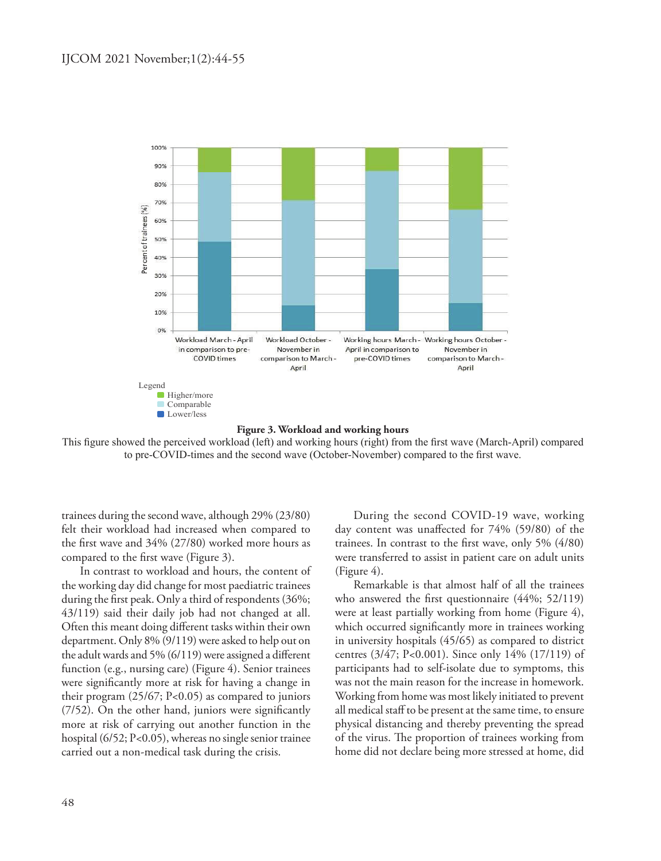

This figure showed the perceived workload (left) and working hours (right) from the first wave (March-April) compared to pre-COVID-times and the second wave (October-November) compared to the first wave.

trainees during the second wave, although 29% (23/80) felt their workload had increased when compared to the first wave and 34% (27/80) worked more hours as compared to the first wave (Figure 3).

In contrast to workload and hours, the content of the working day did change for most paediatric trainees during the first peak. Only a third of respondents (36%; 43/119) said their daily job had not changed at all. Often this meant doing different tasks within their own department. Only 8% (9/119) were asked to help out on the adult wards and 5% (6/119) were assigned a different function (e.g., nursing care) (Figure 4). Senior trainees were significantly more at risk for having a change in their program (25/67; P<0.05) as compared to juniors (7/52). On the other hand, juniors were significantly more at risk of carrying out another function in the hospital (6/52; P<0.05), whereas no single senior trainee carried out a non-medical task during the crisis.

During the second COVID-19 wave, working day content was unaffected for 74% (59/80) of the trainees. In contrast to the first wave, only 5% (4/80) were transferred to assist in patient care on adult units (Figure 4).

Remarkable is that almost half of all the trainees who answered the first questionnaire (44%; 52/119) were at least partially working from home (Figure 4), which occurred significantly more in trainees working in university hospitals (45/65) as compared to district centres (3/47; P<0.001). Since only 14% (17/119) of participants had to self-isolate due to symptoms, this was not the main reason for the increase in homework. Working from home was most likely initiated to prevent all medical staff to be present at the same time, to ensure physical distancing and thereby preventing the spread of the virus. The proportion of trainees working from home did not declare being more stressed at home, did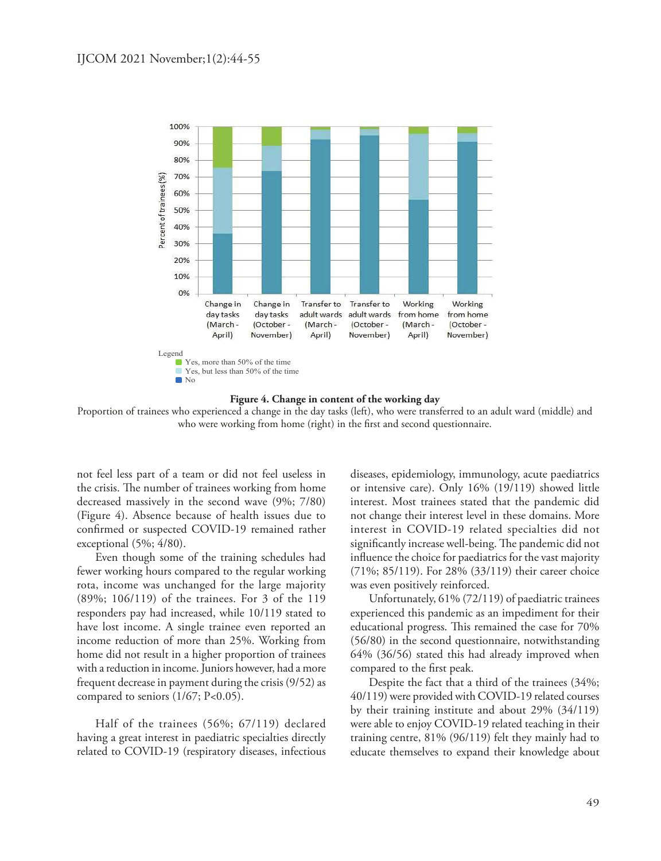



Proportion of trainees who experienced a change in the day tasks (left), who were transferred to an adult ward (middle) and who were working from home (right) in the first and second questionnaire.

not feel less part of a team or did not feel useless in the crisis. The number of trainees working from home decreased massively in the second wave (9%; 7/80) (Figure 4). Absence because of health issues due to confirmed or suspected COVID-19 remained rather exceptional (5%; 4/80).

Even though some of the training schedules had fewer working hours compared to the regular working rota, income was unchanged for the large majority (89%; 106/119) of the trainees. For 3 of the 119 responders pay had increased, while 10/119 stated to have lost income. A single trainee even reported an income reduction of more than 25%. Working from home did not result in a higher proportion of trainees with a reduction in income. Juniors however, had a more frequent decrease in payment during the crisis (9/52) as compared to seniors (1/67; P<0.05).

Half of the trainees (56%; 67/119) declared having a great interest in paediatric specialties directly related to COVID-19 (respiratory diseases, infectious

diseases, epidemiology, immunology, acute paediatrics or intensive care). Only 16% (19/119) showed little interest. Most trainees stated that the pandemic did not change their interest level in these domains. More interest in COVID-19 related specialties did not significantly increase well-being. The pandemic did not influence the choice for paediatrics for the vast majority (71%; 85/119). For 28% (33/119) their career choice was even positively reinforced.

Unfortunately, 61% (72/119) of paediatric trainees experienced this pandemic as an impediment for their educational progress. This remained the case for 70% (56/80) in the second questionnaire, notwithstanding 64% (36/56) stated this had already improved when compared to the first peak.

Despite the fact that a third of the trainees (34%; 40/119) were provided with COVID-19 related courses by their training institute and about 29% (34/119) were able to enjoy COVID-19 related teaching in their training centre, 81% (96/119) felt they mainly had to educate themselves to expand their knowledge about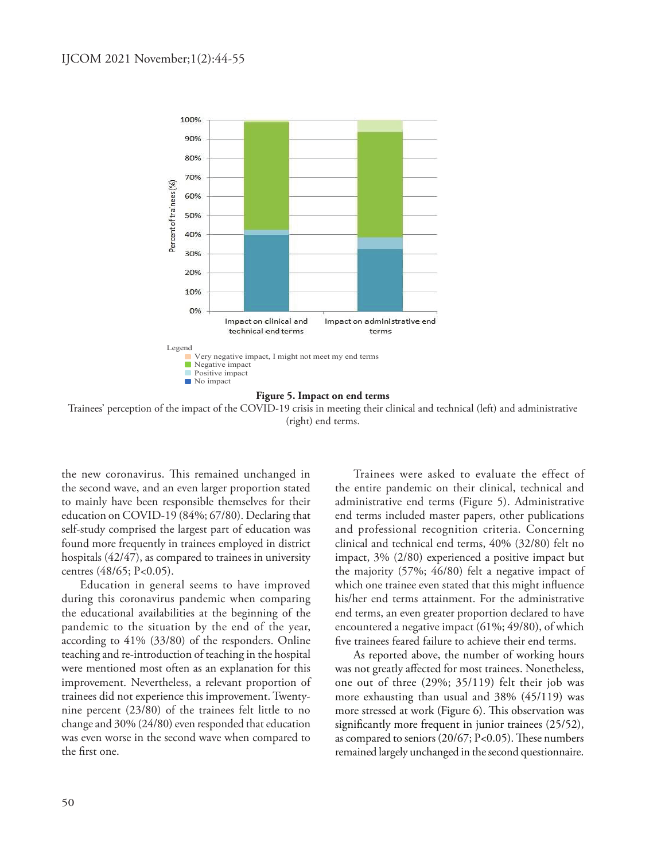

Trainees' perception of the impact of the COVID-19 crisis in meeting their clinical and technical (left) and administrative (right) end terms.

the new coronavirus. This remained unchanged in the second wave, and an even larger proportion stated to mainly have been responsible themselves for their education on COVID-19 (84%; 67/80). Declaring that self-study comprised the largest part of education was found more frequently in trainees employed in district hospitals (42/47), as compared to trainees in university centres (48/65; P<0.05).

Education in general seems to have improved during this coronavirus pandemic when comparing the educational availabilities at the beginning of the pandemic to the situation by the end of the year, according to 41% (33/80) of the responders. Online teaching and re-introduction of teaching in the hospital were mentioned most often as an explanation for this improvement. Nevertheless, a relevant proportion of trainees did not experience this improvement. Twentynine percent (23/80) of the trainees felt little to no change and 30% (24/80) even responded that education was even worse in the second wave when compared to the first one.

Trainees were asked to evaluate the effect of the entire pandemic on their clinical, technical and administrative end terms (Figure 5). Administrative end terms included master papers, other publications and professional recognition criteria. Concerning clinical and technical end terms, 40% (32/80) felt no impact, 3% (2/80) experienced a positive impact but the majority (57%; 46/80) felt a negative impact of which one trainee even stated that this might influence his/her end terms attainment. For the administrative end terms, an even greater proportion declared to have encountered a negative impact (61%; 49/80), of which five trainees feared failure to achieve their end terms.

As reported above, the number of working hours was not greatly affected for most trainees. Nonetheless, one out of three (29%; 35/119) felt their job was more exhausting than usual and 38% (45/119) was more stressed at work (Figure 6). This observation was significantly more frequent in junior trainees (25/52), as compared to seniors (20/67; P<0.05). These numbers remained largely unchanged in the second questionnaire.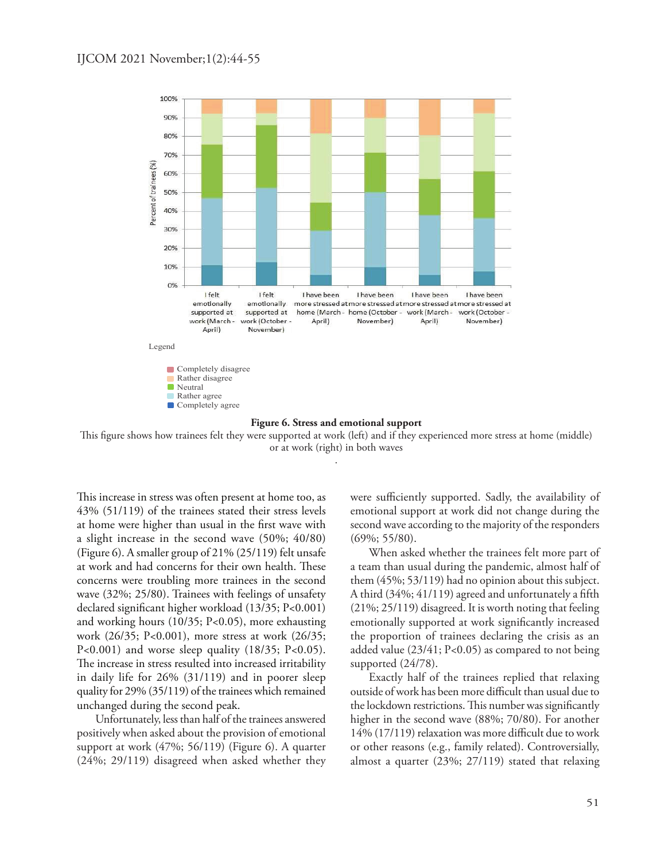

This figure shows how trainees felt they were supported at work (left) and if they experienced more stress at home (middle) or at work (right) in both waves

.

This increase in stress was often present at home too, as 43% (51/119) of the trainees stated their stress levels at home were higher than usual in the first wave with a slight increase in the second wave (50%; 40/80) (Figure 6). A smaller group of 21% (25/119) felt unsafe at work and had concerns for their own health. These concerns were troubling more trainees in the second wave (32%; 25/80). Trainees with feelings of unsafety declared significant higher workload (13/35; P<0.001) and working hours (10/35; P<0.05), more exhausting work (26/35; P<0.001), more stress at work (26/35;  $P<0.001$ ) and worse sleep quality  $(18/35; P<0.05)$ . The increase in stress resulted into increased irritability in daily life for 26% (31/119) and in poorer sleep quality for 29% (35/119) of the trainees which remained unchanged during the second peak.

Unfortunately, less than half of the trainees answered positively when asked about the provision of emotional support at work (47%; 56/119) (Figure 6). A quarter (24%; 29/119) disagreed when asked whether they were sufficiently supported. Sadly, the availability of emotional support at work did not change during the second wave according to the majority of the responders (69%; 55/80).

When asked whether the trainees felt more part of a team than usual during the pandemic, almost half of them (45%; 53/119) had no opinion about this subject. A third (34%; 41/119) agreed and unfortunately a fifth (21%; 25/119) disagreed. It is worth noting that feeling emotionally supported at work significantly increased the proportion of trainees declaring the crisis as an added value (23/41; P<0.05) as compared to not being supported (24/78).

Exactly half of the trainees replied that relaxing outside of work has been more difficult than usual due to the lockdown restrictions. This number was significantly higher in the second wave (88%; 70/80). For another 14% (17/119) relaxation was more difficult due to work or other reasons (e.g., family related). Controversially, almost a quarter (23%; 27/119) stated that relaxing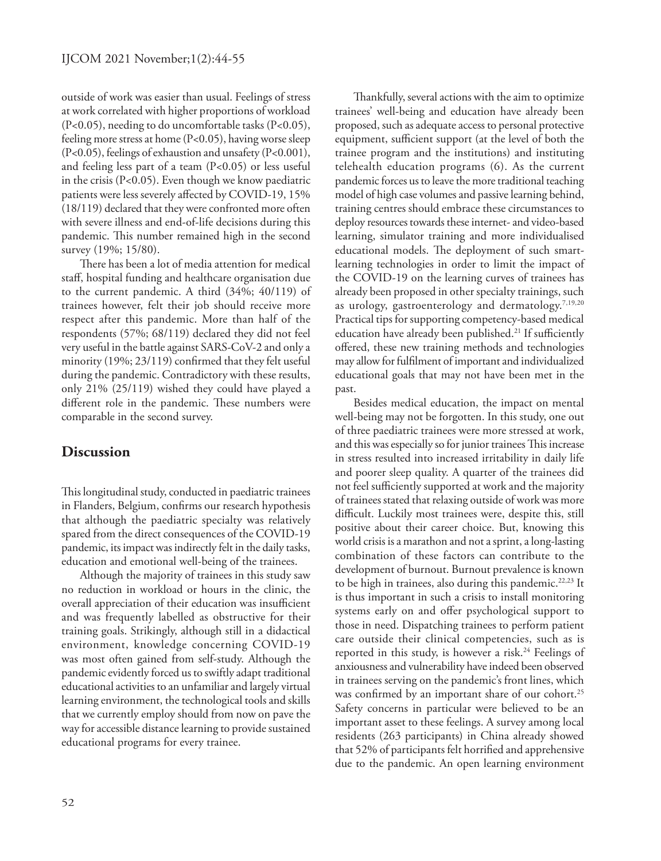outside of work was easier than usual. Feelings of stress at work correlated with higher proportions of workload (P<0.05), needing to do uncomfortable tasks (P<0.05), feeling more stress at home (P<0.05), having worse sleep (P<0.05), feelings of exhaustion and unsafety (P<0.001), and feeling less part of a team (P<0.05) or less useful in the crisis (P<0.05). Even though we know paediatric patients were less severely affected by COVID-19, 15% (18/119) declared that they were confronted more often with severe illness and end-of-life decisions during this pandemic. This number remained high in the second survey (19%; 15/80).

There has been a lot of media attention for medical staff, hospital funding and healthcare organisation due to the current pandemic. A third (34%; 40/119) of trainees however, felt their job should receive more respect after this pandemic. More than half of the respondents (57%; 68/119) declared they did not feel very useful in the battle against SARS-CoV-2 and only a minority (19%; 23/119) confirmed that they felt useful during the pandemic. Contradictory with these results, only 21% (25/119) wished they could have played a different role in the pandemic. These numbers were comparable in the second survey.

#### **Discussion**

This longitudinal study, conducted in paediatric trainees in Flanders, Belgium, confirms our research hypothesis that although the paediatric specialty was relatively spared from the direct consequences of the COVID-19 pandemic, its impact was indirectly felt in the daily tasks, education and emotional well-being of the trainees.

Although the majority of trainees in this study saw no reduction in workload or hours in the clinic, the overall appreciation of their education was insufficient and was frequently labelled as obstructive for their training goals. Strikingly, although still in a didactical environment, knowledge concerning COVID-19 was most often gained from self-study. Although the pandemic evidently forced us to swiftly adapt traditional educational activities to an unfamiliar and largely virtual learning environment, the technological tools and skills that we currently employ should from now on pave the way for accessible distance learning to provide sustained educational programs for every trainee.

Thankfully, several actions with the aim to optimize trainees' well-being and education have already been proposed, such as adequate access to personal protective equipment, sufficient support (at the level of both the trainee program and the institutions) and instituting telehealth education programs (6). As the current pandemic forces us to leave the more traditional teaching model of high case volumes and passive learning behind, training centres should embrace these circumstances to deploy resources towards these internet- and video-based learning, simulator training and more individualised educational models. The deployment of such smartlearning technologies in order to limit the impact of the COVID-19 on the learning curves of trainees has already been proposed in other specialty trainings, such as urology, gastroenterology and dermatology.<sup>7,19,20</sup> Practical tips for supporting competency-based medical education have already been published.<sup>21</sup> If sufficiently offered, these new training methods and technologies may allow for fulfilment of important and individualized educational goals that may not have been met in the past.

Besides medical education, the impact on mental well-being may not be forgotten. In this study, one out of three paediatric trainees were more stressed at work, and this was especially so for junior trainees This increase in stress resulted into increased irritability in daily life and poorer sleep quality. A quarter of the trainees did not feel sufficiently supported at work and the majority of trainees stated that relaxing outside of work was more difficult. Luckily most trainees were, despite this, still positive about their career choice. But, knowing this world crisis is a marathon and not a sprint, a long-lasting combination of these factors can contribute to the development of burnout. Burnout prevalence is known to be high in trainees, also during this pandemic.<sup>22,23</sup> It is thus important in such a crisis to install monitoring systems early on and offer psychological support to those in need. Dispatching trainees to perform patient care outside their clinical competencies, such as is reported in this study, is however a risk.<sup>24</sup> Feelings of anxiousness and vulnerability have indeed been observed in trainees serving on the pandemic's front lines, which was confirmed by an important share of our cohort.<sup>25</sup> Safety concerns in particular were believed to be an important asset to these feelings. A survey among local residents (263 participants) in China already showed that 52% of participants felt horrified and apprehensive due to the pandemic. An open learning environment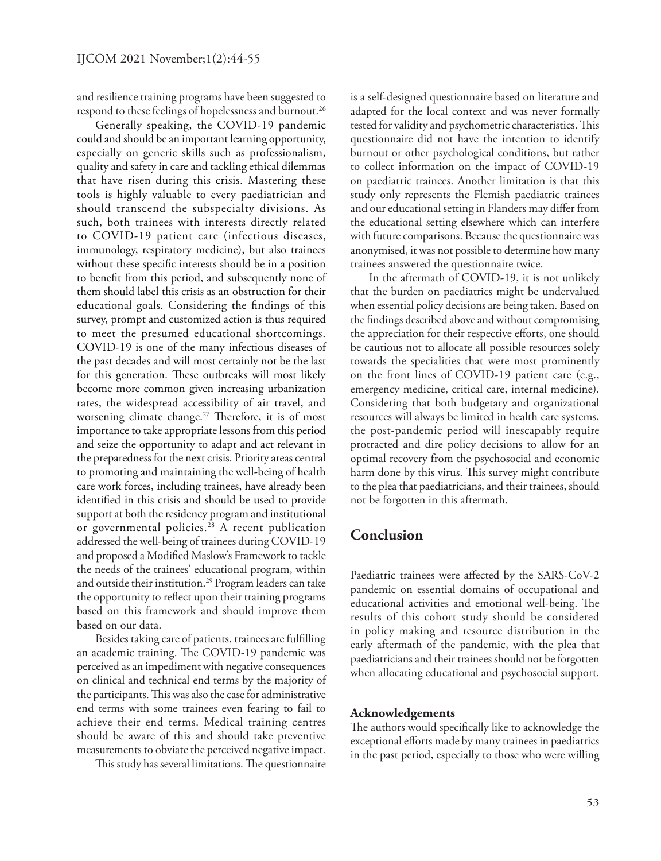and resilience training programs have been suggested to respond to these feelings of hopelessness and burnout.<sup>26</sup>

Generally speaking, the COVID-19 pandemic could and should be an important learning opportunity, especially on generic skills such as professionalism, quality and safety in care and tackling ethical dilemmas that have risen during this crisis. Mastering these tools is highly valuable to every paediatrician and should transcend the subspecialty divisions. As such, both trainees with interests directly related to COVID-19 patient care (infectious diseases, immunology, respiratory medicine), but also trainees without these specific interests should be in a position to benefit from this period, and subsequently none of them should label this crisis as an obstruction for their educational goals. Considering the findings of this survey, prompt and customized action is thus required to meet the presumed educational shortcomings. COVID-19 is one of the many infectious diseases of the past decades and will most certainly not be the last for this generation. These outbreaks will most likely become more common given increasing urbanization rates, the widespread accessibility of air travel, and worsening climate change.<sup>27</sup> Therefore, it is of most importance to take appropriate lessons from this period and seize the opportunity to adapt and act relevant in the preparedness for the next crisis. Priority areas central to promoting and maintaining the well-being of health care work forces, including trainees, have already been identified in this crisis and should be used to provide support at both the residency program and institutional or governmental policies.<sup>28</sup> A recent publication addressed the well-being of trainees during COVID-19 and proposed a Modified Maslow's Framework to tackle the needs of the trainees' educational program, within and outside their institution.<sup>29</sup> Program leaders can take the opportunity to reflect upon their training programs based on this framework and should improve them based on our data.

Besides taking care of patients, trainees are fulfilling an academic training. The COVID-19 pandemic was perceived as an impediment with negative consequences on clinical and technical end terms by the majority of the participants. This was also the case for administrative end terms with some trainees even fearing to fail to achieve their end terms. Medical training centres should be aware of this and should take preventive measurements to obviate the perceived negative impact.

This study has several limitations. The questionnaire

is a self-designed questionnaire based on literature and adapted for the local context and was never formally tested for validity and psychometric characteristics. This questionnaire did not have the intention to identify burnout or other psychological conditions, but rather to collect information on the impact of COVID-19 on paediatric trainees. Another limitation is that this study only represents the Flemish paediatric trainees and our educational setting in Flanders may differ from the educational setting elsewhere which can interfere with future comparisons. Because the questionnaire was anonymised, it was not possible to determine how many trainees answered the questionnaire twice.

In the aftermath of COVID-19, it is not unlikely that the burden on paediatrics might be undervalued when essential policy decisions are being taken. Based on the findings described above and without compromising the appreciation for their respective efforts, one should be cautious not to allocate all possible resources solely towards the specialities that were most prominently on the front lines of COVID-19 patient care (e.g., emergency medicine, critical care, internal medicine). Considering that both budgetary and organizational resources will always be limited in health care systems, the post-pandemic period will inescapably require protracted and dire policy decisions to allow for an optimal recovery from the psychosocial and economic harm done by this virus. This survey might contribute to the plea that paediatricians, and their trainees, should not be forgotten in this aftermath.

# **Conclusion**

Paediatric trainees were affected by the SARS-CoV-2 pandemic on essential domains of occupational and educational activities and emotional well-being. The results of this cohort study should be considered in policy making and resource distribution in the early aftermath of the pandemic, with the plea that paediatricians and their trainees should not be forgotten when allocating educational and psychosocial support.

#### **Acknowledgements**

The authors would specifically like to acknowledge the exceptional efforts made by many trainees in paediatrics in the past period, especially to those who were willing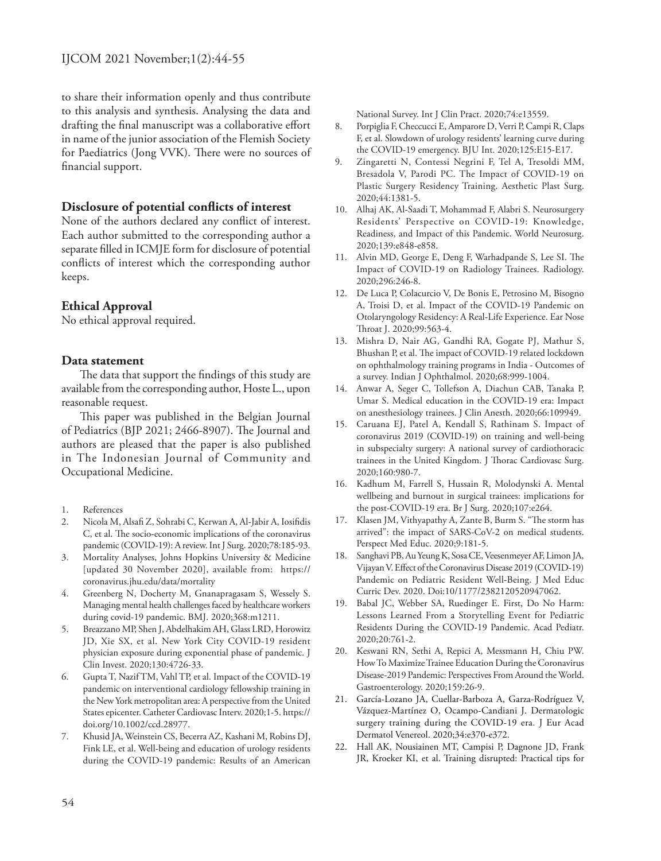to share their information openly and thus contribute to this analysis and synthesis. Analysing the data and drafting the final manuscript was a collaborative effort in name of the junior association of the Flemish Society for Paediatrics (Jong VVK). There were no sources of financial support.

#### **Disclosure of potential conflicts of interest**

None of the authors declared any conflict of interest. Each author submitted to the corresponding author a separate filled in ICMJE form for disclosure of potential conflicts of interest which the corresponding author keeps.

#### **Ethical Approval**

No ethical approval required.

#### **Data statement**

The data that support the findings of this study are available from the corresponding author, Hoste L., upon reasonable request.

This paper was published in the Belgian Journal of Pediatrics (BJP 2021; 2466-8907). The Journal and authors are pleased that the paper is also published in The Indonesian Journal of Community and Occupational Medicine.

- 1. References
- 2. Nicola M, Alsafi Z, Sohrabi C, Kerwan A, Al-Jabir A, Iosifidis C, et al. The socio-economic implications of the coronavirus pandemic (COVID-19): A review. Int J Surg. 2020;78:185-93.
- 3. Mortality Analyses, Johns Hopkins University & Medicine [updated 30 November 2020], available from: https:// coronavirus.jhu.edu/data/mortality
- 4. Greenberg N, Docherty M, Gnanapragasam S, Wessely S. Managing mental health challenges faced by healthcare workers during covid-19 pandemic. BMJ. 2020;368:m1211.
- 5. Breazzano MP, Shen J, Abdelhakim AH, Glass LRD, Horowitz JD, Xie SX, et al. New York City COVID-19 resident physician exposure during exponential phase of pandemic. J Clin Invest. 2020;130:4726-33.
- 6. Gupta T, Nazif TM, Vahl TP, et al. Impact of the COVID-19 pandemic on interventional cardiology fellowship training in the New York metropolitan area: A perspective from the United States epicenter. Catheter Cardiovasc Interv. 2020;1-5. https:// doi.org/10.1002/ccd.28977.
- 7. Khusid JA, Weinstein CS, Becerra AZ, Kashani M, Robins DJ, Fink LE, et al. Well-being and education of urology residents during the COVID-19 pandemic: Results of an American

National Survey. Int J Clin Pract. 2020;74:e13559.

- 8. Porpiglia F, Checcucci E, Amparore D, Verri P, Campi R, Claps F, et al. Slowdown of urology residents' learning curve during the COVID-19 emergency. BJU Int. 2020;125:E15-E17.
- 9. Zingaretti N, Contessi Negrini F, Tel A, Tresoldi MM, Bresadola V, Parodi PC. The Impact of COVID-19 on Plastic Surgery Residency Training. Aesthetic Plast Surg. 2020;44:1381-5.
- 10. Alhaj AK, Al-Saadi T, Mohammad F, Alabri S. Neurosurgery Residents' Perspective on COVID-19: Knowledge, Readiness, and Impact of this Pandemic. World Neurosurg. 2020;139:e848-e858.
- 11. Alvin MD, George E, Deng F, Warhadpande S, Lee SI. The Impact of COVID-19 on Radiology Trainees. Radiology. 2020;296:246-8.
- 12. De Luca P, Colacurcio V, De Bonis E, Petrosino M, Bisogno A, Troisi D, et al. Impact of the COVID-19 Pandemic on Otolaryngology Residency: A Real-Life Experience. Ear Nose Throat J. 2020;99:563-4.
- 13. Mishra D, Nair AG, Gandhi RA, Gogate PJ, Mathur S, Bhushan P, et al. The impact of COVID-19 related lockdown on ophthalmology training programs in India - Outcomes of a survey. Indian J Ophthalmol. 2020;68:999-1004.
- 14. Anwar A, Seger C, Tollefson A, Diachun CAB, Tanaka P, Umar S. Medical education in the COVID-19 era: Impact on anesthesiology trainees. J Clin Anesth. 2020;66:109949.
- 15. Caruana EJ, Patel A, Kendall S, Rathinam S. Impact of coronavirus 2019 (COVID-19) on training and well-being in subspecialty surgery: A national survey of cardiothoracic trainees in the United Kingdom. J Thorac Cardiovasc Surg. 2020;160:980-7.
- 16. Kadhum M, Farrell S, Hussain R, Molodynski A. Mental wellbeing and burnout in surgical trainees: implications for the post-COVID-19 era. Br J Surg. 2020;107:e264.
- 17. Klasen JM, Vithyapathy A, Zante B, Burm S. "The storm has arrived": the impact of SARS-CoV-2 on medical students. Perspect Med Educ. 2020;9:181-5.
- 18. Sanghavi PB, Au Yeung K, Sosa CE, Veesenmeyer AF, Limon JA, Vijayan V. Effect of the Coronavirus Disease 2019 (COVID-19) Pandemic on Pediatric Resident Well-Being. J Med Educ Curric Dev. 2020. Doi:10/1177/2382120520947062.
- 19. Babal JC, Webber SA, Ruedinger E. First, Do No Harm: Lessons Learned From a Storytelling Event for Pediatric Residents During the COVID-19 Pandemic. Acad Pediatr. 2020;20:761-2.
- 20. Keswani RN, Sethi A, Repici A, Messmann H, Chiu PW. How To Maximize Trainee Education During the Coronavirus Disease-2019 Pandemic: Perspectives From Around the World. Gastroenterology. 2020;159:26-9.
- 21. García-Lozano JA, Cuellar-Barboza A, Garza-Rodríguez V, Vázquez-Martínez O, Ocampo-Candiani J. Dermatologic surgery training during the COVID-19 era. J Eur Acad Dermatol Venereol. 2020;34:e370-e372.
- 22. Hall AK, Nousiainen MT, Campisi P, Dagnone JD, Frank JR, Kroeker KI, et al. Training disrupted: Practical tips for